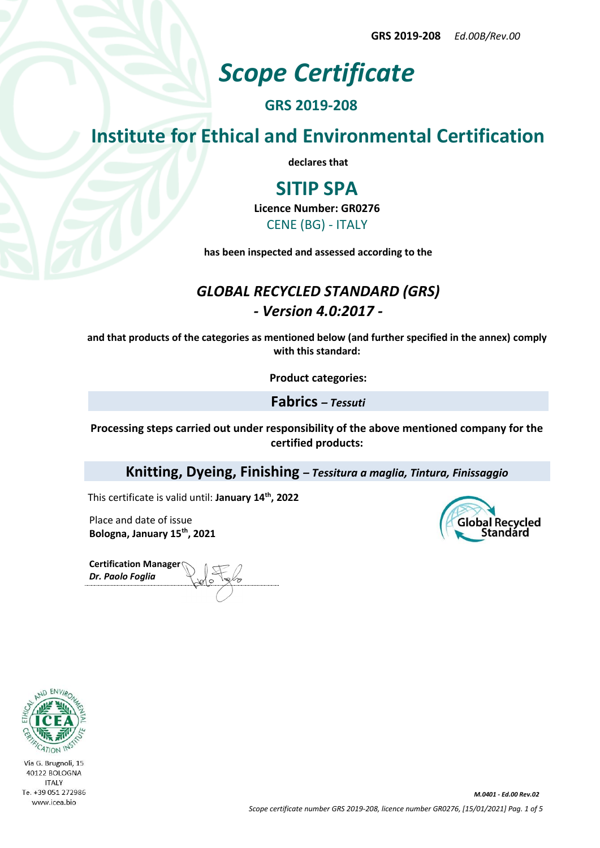**GRS 2019-208** *Ed.00B/Rev.00*

# *Scope Certificate*

### **GRS 2019-208**

**Institute for Ethical and Environmental Certification**

**declares that**

## **SITIP SPA**

**Licence Number: GR0276**

CENE (BG) - ITALY

**has been inspected and assessed according to the**

### *GLOBAL RECYCLED STANDARD (GRS) - Version 4.0:2017 -*

**and that products of the categories as mentioned below (and further specified in the annex) comply with this standard:**

**Product categories:**

**Fabrics** *– Tessuti*

**Processing steps carried out under responsibility of the above mentioned company for the certified products:**

**Knitting, Dyeing, Finishing** *– Tessitura a maglia, Tintura, Finissaggio*

This certificate is valid until: **January 14th, 2022**

Place and date of issue **Bologna, January 15th, 2021**

**Certification Manager** *Dr. Paolo Foglia*



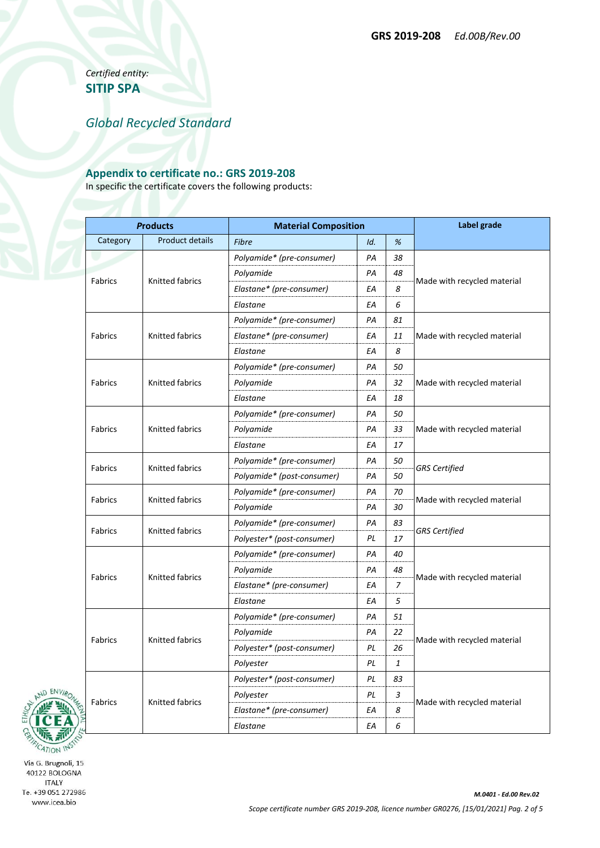*Certified entity:* **SITIP SPA**

*Global Recycled Standard*

### **Appendix to certificate no.: GRS 2019-208**

In specific the certificate covers the following products:

| <b>Products</b> |                        | <b>Material Composition</b> |     |                | Label grade                 |  |
|-----------------|------------------------|-----------------------------|-----|----------------|-----------------------------|--|
| Category        | Product details        | Fibre                       | Id. | %              |                             |  |
| Fabrics         | <b>Knitted fabrics</b> | Polyamide* (pre-consumer)   | PA  | 38             | Made with recycled material |  |
|                 |                        | Polyamide                   | PA  | 48             |                             |  |
|                 |                        | Elastane* (pre-consumer)    | ΕA  | 8              |                             |  |
|                 |                        | Elastane                    | ΕA  | 6              |                             |  |
| Fabrics         | Knitted fabrics        | Polyamide* (pre-consumer)   | PA  | 81             |                             |  |
|                 |                        | Elastane* (pre-consumer)    | ΕA  | 11             | Made with recycled material |  |
|                 |                        | Elastane                    | ΕA  | 8              |                             |  |
| Fabrics         | Knitted fabrics        | Polyamide* (pre-consumer)   | PА  | 50             | Made with recycled material |  |
|                 |                        | Polyamide                   | PA  | 32             |                             |  |
|                 |                        | Elastane                    | ΕA  | 18             |                             |  |
| Fabrics         | Knitted fabrics        | Polyamide* (pre-consumer)   | PA  | 50             |                             |  |
|                 |                        | Polyamide                   | PA  | 33             | Made with recycled material |  |
|                 |                        | Elastane                    | EA  | 17             |                             |  |
| Fabrics         | Knitted fabrics        | Polyamide* (pre-consumer)   | PA  | 50             |                             |  |
|                 |                        | Polyamide* (post-consumer)  | PA  | 50             | <b>GRS</b> Certified        |  |
| <b>Fabrics</b>  | Knitted fabrics        | Polyamide* (pre-consumer)   | PA  | 70             | Made with recycled material |  |
|                 |                        | Polyamide                   | PA  | 30             |                             |  |
| Fabrics         | <b>Knitted fabrics</b> | Polyamide* (pre-consumer)   | PA  | 83             | <b>GRS</b> Certified        |  |
|                 |                        | Polyester* (post-consumer)  | PL  | 17             |                             |  |
| Fabrics         | Knitted fabrics        | Polyamide* (pre-consumer)   | PA  | 40             | Made with recycled material |  |
|                 |                        | Polyamide                   | PA  | 48             |                             |  |
|                 |                        | Elastane* (pre-consumer)    | ΕA  | $\overline{7}$ |                             |  |
|                 |                        | Elastane                    | EA  | 5              |                             |  |
| Fabrics         | <b>Knitted fabrics</b> | Polyamide* (pre-consumer)   | РA  | 51             |                             |  |
|                 |                        | Polyamide                   | PA  | 22             | Made with recycled material |  |
|                 |                        | Polyester* (post-consumer)  | ΡL  | 26             |                             |  |
|                 |                        | Polyester                   | PL  | $\mathbf{1}$   |                             |  |
| <b>Fabrics</b>  | <b>Knitted fabrics</b> | Polyester* (post-consumer)  | PL  | 83             | Made with recycled material |  |
|                 |                        | Polyester                   | PL  | 3              |                             |  |
|                 |                        | Elastane* (pre-consumer)    | EA  | 8              |                             |  |
|                 |                        | Elastane                    | ΕA  | 6              |                             |  |

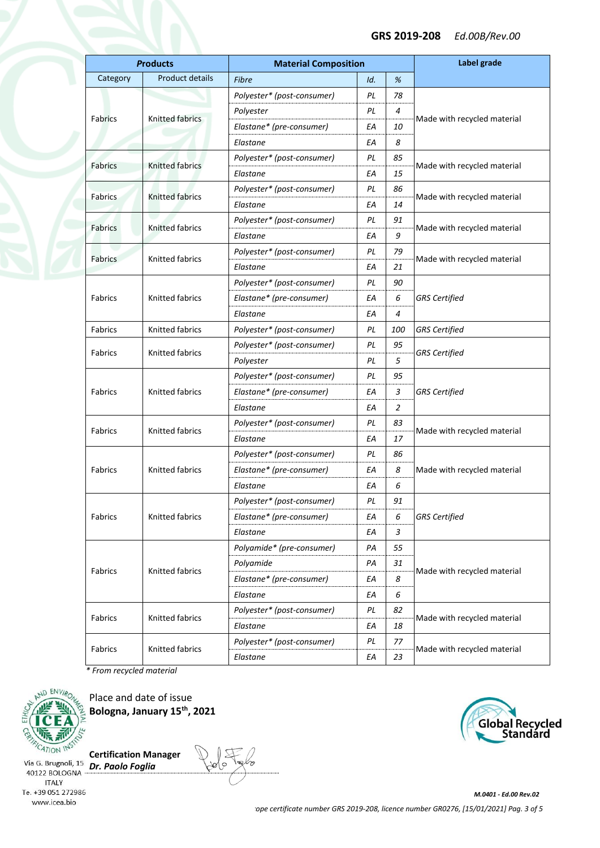#### **GRS 2019-208** *Ed.00B/Rev.00*

| <b>Products</b> |                        | <b>Material Composition</b> |     |            | Label grade                 |  |
|-----------------|------------------------|-----------------------------|-----|------------|-----------------------------|--|
| Category        | Product details        | Fibre                       | Id. | %          |                             |  |
|                 | Knitted fabrics        | Polyester* (post-consumer)  | PL  | 78         |                             |  |
| Fabrics         |                        | Polyester                   | PL  | 4          |                             |  |
|                 |                        | Elastane* (pre-consumer)    | EА  | 10         | Made with recycled material |  |
|                 |                        | Elastane                    | EА  | 8          |                             |  |
| <b>Fabrics</b>  | Knitted fabrics        | Polyester* (post-consumer)  | ΡL  | 85         |                             |  |
|                 |                        | Elastane                    | EА  | 15         | Made with recycled material |  |
| <b>Fabrics</b>  | <b>Knitted fabrics</b> | Polyester* (post-consumer)  | PL  | 86         | Made with recycled material |  |
|                 |                        | Elastane                    | EА  | 14         |                             |  |
| Fabrics         | Knitted fabrics        | Polyester* (post-consumer)  | ΡL  | 91         |                             |  |
|                 |                        | Elastane                    | ΕA  | 9          | Made with recycled material |  |
|                 | <b>Knitted fabrics</b> | Polyester* (post-consumer)  | ΡL  | 79         |                             |  |
| <b>Fabrics</b>  |                        | Elastane                    | EА  | 21         | Made with recycled material |  |
|                 |                        | Polyester* (post-consumer)  | ΡL  | 90         |                             |  |
| Fabrics         | <b>Knitted fabrics</b> | Elastane* (pre-consumer)    | EА  | 6          | <b>GRS</b> Certified        |  |
|                 |                        | Elastane                    | EА  | 4          |                             |  |
| <b>Fabrics</b>  | Knitted fabrics        | Polyester* (post-consumer)  | ΡL  | <i>100</i> | <b>GRS</b> Certified        |  |
| Fabrics         | <b>Knitted fabrics</b> | Polyester* (post-consumer)  | ΡL  | 95         |                             |  |
|                 |                        | Polyester                   | ΡL  | 5          | <b>GRS</b> Certified        |  |
|                 | <b>Knitted fabrics</b> | Polyester* (post-consumer)  | ΡL  | 95         |                             |  |
| Fabrics         |                        | Elastane* (pre-consumer)    | EА  | з          | <b>GRS</b> Certified        |  |
|                 |                        | Elastane                    | EА  | 2          |                             |  |
|                 | <b>Knitted fabrics</b> | Polyester* (post-consumer)  | ΡL  | 83         | Made with recycled material |  |
| Fabrics         |                        | Elastane                    | EА  | 17         |                             |  |
|                 | <b>Knitted fabrics</b> | Polyester* (post-consumer)  | ΡL  | 86         |                             |  |
| Fabrics         |                        | Elastane* (pre-consumer)    | EА  | 8          | Made with recycled material |  |
|                 |                        | Elastane                    | EА  | 6          |                             |  |
|                 | Knitted fabrics        | Polyester* (post-consumer)  | PL  | 91         |                             |  |
| Fabrics         |                        | Elastane* (pre-consumer)    | EА  | 6          | <b>GRS</b> Certified        |  |
|                 |                        | Elastane                    | ΕA  | 3          |                             |  |
|                 | Knitted fabrics        | Polyamide* (pre-consumer)   | РA  | 55         |                             |  |
|                 |                        | Polyamide                   | PА  | 31         |                             |  |
| Fabrics         |                        | Elastane* (pre-consumer)    | ΕA  | 8          | Made with recycled material |  |
|                 |                        | Elastane                    | EА  | 6          |                             |  |
|                 | Knitted fabrics        | Polyester* (post-consumer)  | PL  | 82         |                             |  |
| Fabrics         |                        | Elastane                    | ΕA  | 18         | Made with recycled material |  |
|                 | Knitted fabrics        | Polyester* (post-consumer)  | PL  | 77         |                             |  |
| Fabrics         |                        | Elastane                    | EА  | 23         | Made with recycled material |  |

*\* From recycled material*



Place and date of issue **Bologna, January 15th, 2021**

**Certification Manager**



*M.0401 - Ed.00 Rev.02 Scope certificate number GRS 2019-208, licence number GR0276, [15/01/2021] Pag. 3 of 5*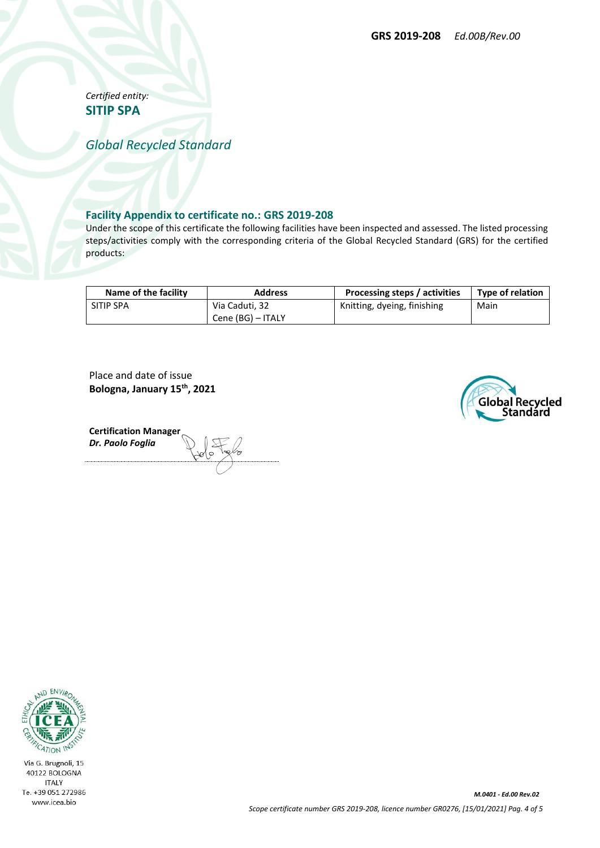*Certified entity:* **SITIP SPA**

*Global Recycled Standard*

#### **Facility Appendix to certificate no.: GRS 2019-208**

Under the scope of this certificate the following facilities have been inspected and assessed. The listed processing steps/activities comply with the corresponding criteria of the Global Recycled Standard (GRS) for the certified products:

| Name of the facility | <b>Address</b>    | Processing steps / activities | <b>Type of relation</b> |  |
|----------------------|-------------------|-------------------------------|-------------------------|--|
| SITIP SPA            | Via Caduti, 32    | Knitting, dyeing, finishing   | Main                    |  |
|                      | Cene (BG) - ITALY |                               |                         |  |

Place and date of issue **Bologna, January 15th, 2021**



**Certification Manager** *Dr. Paolo Foglia*